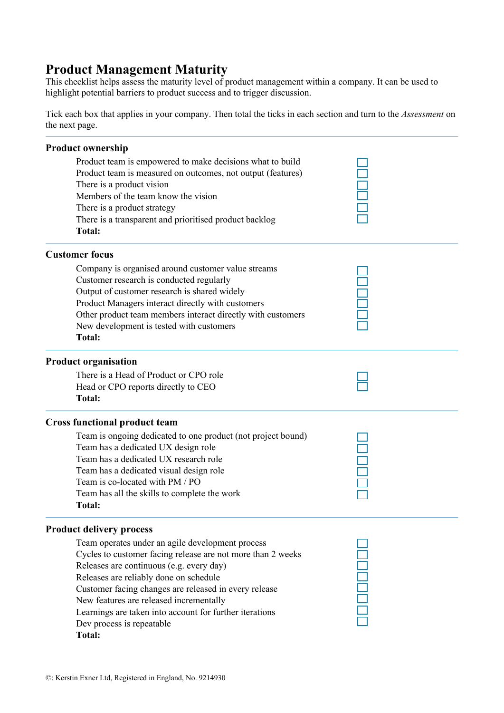## **Product Management Maturity**

This checklist helps assess the maturity level of product management within a company. It can be used to highlight potential barriers to product success and to trigger discussion.

Tick each box that applies in your company. Then total the ticks in each section and turn to the *Assessment* on the next page.

| <b>Product ownership</b>                                     |  |
|--------------------------------------------------------------|--|
| Product team is empowered to make decisions what to build    |  |
| Product team is measured on outcomes, not output (features)  |  |
| There is a product vision                                    |  |
| Members of the team know the vision                          |  |
| There is a product strategy                                  |  |
| There is a transparent and prioritised product backlog       |  |
| Total:                                                       |  |
| <b>Customer focus</b>                                        |  |
| Company is organised around customer value streams           |  |
| Customer research is conducted regularly                     |  |
| Output of customer research is shared widely                 |  |
| Product Managers interact directly with customers            |  |
| Other product team members interact directly with customers  |  |
| New development is tested with customers                     |  |
| Total:                                                       |  |
| <b>Product organisation</b>                                  |  |
| There is a Head of Product or CPO role                       |  |
| Head or CPO reports directly to CEO                          |  |
| Total:                                                       |  |
| <b>Cross functional product team</b>                         |  |
| Team is ongoing dedicated to one product (not project bound) |  |
| Team has a dedicated UX design role                          |  |
| Team has a dedicated UX research role                        |  |
| Team has a dedicated visual design role                      |  |
| Team is co-located with PM / PO                              |  |
| Team has all the skills to complete the work                 |  |
| Total:                                                       |  |
| <b>Product delivery process</b>                              |  |
| Team operates under an agile development process             |  |
| Cycles to customer facing release are not more than 2 weeks  |  |
| Releases are continuous (e.g. every day)                     |  |
| Releases are reliably done on schedule                       |  |
| Customer facing changes are released in every release        |  |
| New features are released incrementally                      |  |
| Learnings are taken into account for further iterations      |  |
| Dev process is repeatable                                    |  |
| <b>Total:</b>                                                |  |
|                                                              |  |